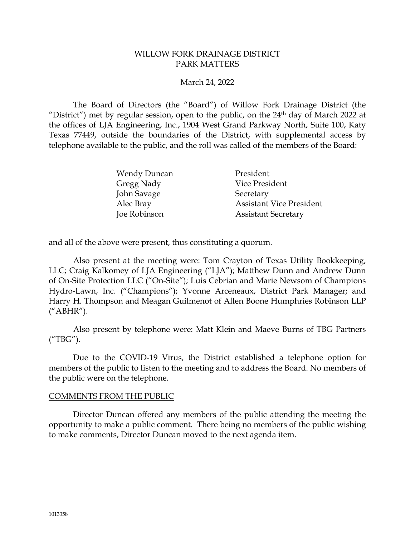## WILLOW FORK DRAINAGE DISTRICT PARK MATTERS

## March 24, 2022

The Board of Directors (the "Board") of Willow Fork Drainage District (the "District") met by regular session, open to the public, on the  $24<sup>th</sup>$  day of March 2022 at the offices of LJA Engineering, Inc., 1904 West Grand Parkway North, Suite 100, Katy Texas 77449, outside the boundaries of the District, with supplemental access by telephone available to the public, and the roll was called of the members of the Board:

| <b>Wendy Duncan</b> | President                       |
|---------------------|---------------------------------|
| Gregg Nady          | Vice President                  |
| John Savage         | Secretary                       |
| Alec Bray           | <b>Assistant Vice President</b> |
| Joe Robinson        | <b>Assistant Secretary</b>      |

and all of the above were present, thus constituting a quorum.

Also present at the meeting were: Tom Crayton of Texas Utility Bookkeeping, LLC; Craig Kalkomey of LJA Engineering ("LJA"); Matthew Dunn and Andrew Dunn of On-Site Protection LLC ("On-Site"); Luis Cebrian and Marie Newsom of Champions Hydro-Lawn, Inc. ("Champions"); Yvonne Arceneaux, District Park Manager; and Harry H. Thompson and Meagan Guilmenot of Allen Boone Humphries Robinson LLP ("ABHR").

Also present by telephone were: Matt Klein and Maeve Burns of TBG Partners ("TBG").

Due to the COVID-19 Virus, the District established a telephone option for members of the public to listen to the meeting and to address the Board. No members of the public were on the telephone.

## COMMENTS FROM THE PUBLIC

Director Duncan offered any members of the public attending the meeting the opportunity to make a public comment. There being no members of the public wishing to make comments, Director Duncan moved to the next agenda item.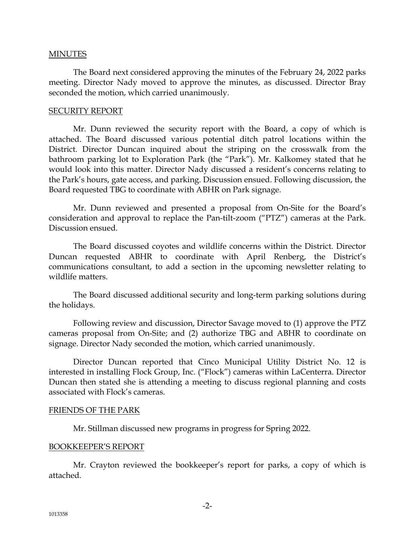## MINUTES

The Board next considered approving the minutes of the February 24, 2022 parks meeting. Director Nady moved to approve the minutes, as discussed. Director Bray seconded the motion, which carried unanimously.

## SECURITY REPORT

Mr. Dunn reviewed the security report with the Board, a copy of which is attached. The Board discussed various potential ditch patrol locations within the District. Director Duncan inquired about the striping on the crosswalk from the bathroom parking lot to Exploration Park (the "Park"). Mr. Kalkomey stated that he would look into this matter. Director Nady discussed a resident's concerns relating to the Park's hours, gate access, and parking. Discussion ensued. Following discussion, the Board requested TBG to coordinate with ABHR on Park signage.

Mr. Dunn reviewed and presented a proposal from On-Site for the Board's consideration and approval to replace the Pan-tilt-zoom ("PTZ") cameras at the Park. Discussion ensued.

The Board discussed coyotes and wildlife concerns within the District. Director Duncan requested ABHR to coordinate with April Renberg, the District's communications consultant, to add a section in the upcoming newsletter relating to wildlife matters.

The Board discussed additional security and long-term parking solutions during the holidays.

Following review and discussion, Director Savage moved to (1) approve the PTZ cameras proposal from On-Site; and (2) authorize TBG and ABHR to coordinate on signage. Director Nady seconded the motion, which carried unanimously.

Director Duncan reported that Cinco Municipal Utility District No. 12 is interested in installing Flock Group, Inc. ("Flock") cameras within LaCenterra. Director Duncan then stated she is attending a meeting to discuss regional planning and costs associated with Flock's cameras.

## FRIENDS OF THE PARK

Mr. Stillman discussed new programs in progress for Spring 2022.

## BOOKKEEPER'S REPORT

Mr. Crayton reviewed the bookkeeper's report for parks, a copy of which is attached.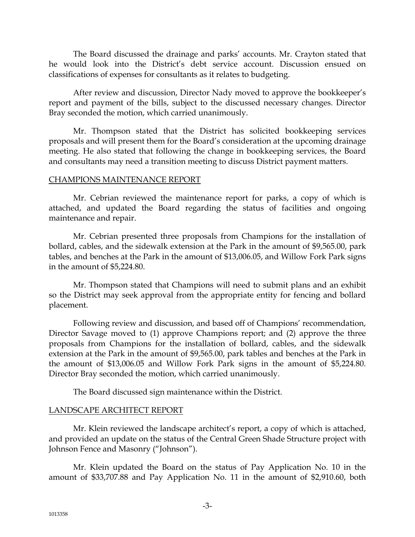The Board discussed the drainage and parks' accounts. Mr. Crayton stated that he would look into the District's debt service account. Discussion ensued on classifications of expenses for consultants as it relates to budgeting.

After review and discussion, Director Nady moved to approve the bookkeeper's report and payment of the bills, subject to the discussed necessary changes. Director Bray seconded the motion, which carried unanimously.

Mr. Thompson stated that the District has solicited bookkeeping services proposals and will present them for the Board's consideration at the upcoming drainage meeting. He also stated that following the change in bookkeeping services, the Board and consultants may need a transition meeting to discuss District payment matters.

## CHAMPIONS MAINTENANCE REPORT

Mr. Cebrian reviewed the maintenance report for parks, a copy of which is attached, and updated the Board regarding the status of facilities and ongoing maintenance and repair.

Mr. Cebrian presented three proposals from Champions for the installation of bollard, cables, and the sidewalk extension at the Park in the amount of \$9,565.00, park tables, and benches at the Park in the amount of \$13,006.05, and Willow Fork Park signs in the amount of \$5,224.80.

Mr. Thompson stated that Champions will need to submit plans and an exhibit so the District may seek approval from the appropriate entity for fencing and bollard placement.

Following review and discussion, and based off of Champions' recommendation, Director Savage moved to (1) approve Champions report; and (2) approve the three proposals from Champions for the installation of bollard, cables, and the sidewalk extension at the Park in the amount of \$9,565.00, park tables and benches at the Park in the amount of \$13,006.05 and Willow Fork Park signs in the amount of \$5,224.80. Director Bray seconded the motion, which carried unanimously.

The Board discussed sign maintenance within the District.

# LANDSCAPE ARCHITECT REPORT

Mr. Klein reviewed the landscape architect's report, a copy of which is attached, and provided an update on the status of the Central Green Shade Structure project with Johnson Fence and Masonry ("Johnson").

Mr. Klein updated the Board on the status of Pay Application No. 10 in the amount of \$33,707.88 and Pay Application No. 11 in the amount of \$2,910.60, both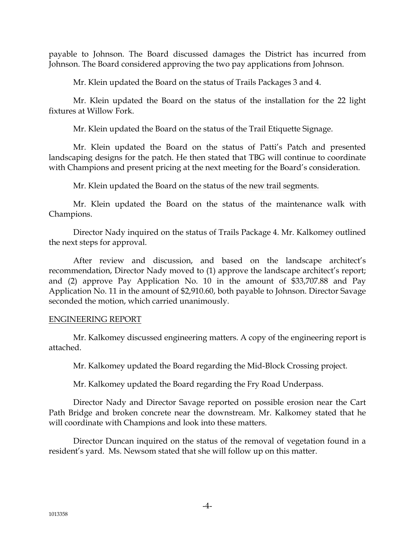payable to Johnson. The Board discussed damages the District has incurred from Johnson. The Board considered approving the two pay applications from Johnson.

Mr. Klein updated the Board on the status of Trails Packages 3 and 4.

Mr. Klein updated the Board on the status of the installation for the 22 light fixtures at Willow Fork.

Mr. Klein updated the Board on the status of the Trail Etiquette Signage.

Mr. Klein updated the Board on the status of Patti's Patch and presented landscaping designs for the patch. He then stated that TBG will continue to coordinate with Champions and present pricing at the next meeting for the Board's consideration.

Mr. Klein updated the Board on the status of the new trail segments.

Mr. Klein updated the Board on the status of the maintenance walk with Champions.

Director Nady inquired on the status of Trails Package 4. Mr. Kalkomey outlined the next steps for approval.

After review and discussion, and based on the landscape architect's recommendation, Director Nady moved to (1) approve the landscape architect's report; and (2) approve Pay Application No. 10 in the amount of \$33,707.88 and Pay Application No. 11 in the amount of \$2,910.60, both payable to Johnson. Director Savage seconded the motion, which carried unanimously.

## ENGINEERING REPORT

Mr. Kalkomey discussed engineering matters. A copy of the engineering report is attached.

Mr. Kalkomey updated the Board regarding the Mid-Block Crossing project.

Mr. Kalkomey updated the Board regarding the Fry Road Underpass.

Director Nady and Director Savage reported on possible erosion near the Cart Path Bridge and broken concrete near the downstream. Mr. Kalkomey stated that he will coordinate with Champions and look into these matters.

Director Duncan inquired on the status of the removal of vegetation found in a resident's yard. Ms. Newsom stated that she will follow up on this matter.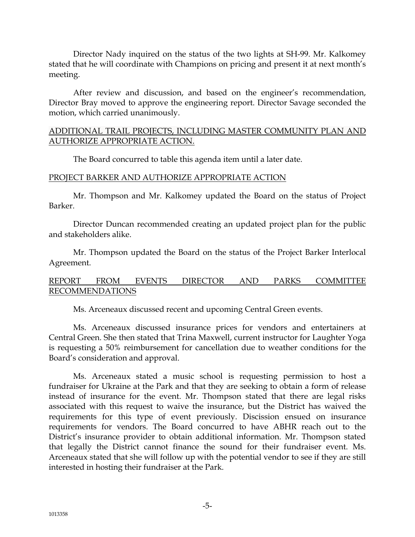Director Nady inquired on the status of the two lights at SH-99. Mr. Kalkomey stated that he will coordinate with Champions on pricing and present it at next month's meeting.

After review and discussion, and based on the engineer's recommendation, Director Bray moved to approve the engineering report. Director Savage seconded the motion, which carried unanimously.

## ADDITIONAL TRAIL PROJECTS, INCLUDING MASTER COMMUNITY PLAN AND AUTHORIZE APPROPRIATE ACTION.

The Board concurred to table this agenda item until a later date.

## PROJECT BARKER AND AUTHORIZE APPROPRIATE ACTION

Mr. Thompson and Mr. Kalkomey updated the Board on the status of Project Barker.

Director Duncan recommended creating an updated project plan for the public and stakeholders alike.

Mr. Thompson updated the Board on the status of the Project Barker Interlocal Agreement.

# REPORT FROM EVENTS DIRECTOR AND PARKS COMMITTEE RECOMMENDATIONS

Ms. Arceneaux discussed recent and upcoming Central Green events.

Ms. Arceneaux discussed insurance prices for vendors and entertainers at Central Green. She then stated that Trina Maxwell, current instructor for Laughter Yoga is requesting a 50% reimbursement for cancellation due to weather conditions for the Board's consideration and approval.

Ms. Arceneaux stated a music school is requesting permission to host a fundraiser for Ukraine at the Park and that they are seeking to obtain a form of release instead of insurance for the event. Mr. Thompson stated that there are legal risks associated with this request to waive the insurance, but the District has waived the requirements for this type of event previously. Discission ensued on insurance requirements for vendors. The Board concurred to have ABHR reach out to the District's insurance provider to obtain additional information. Mr. Thompson stated that legally the District cannot finance the sound for their fundraiser event. Ms. Arceneaux stated that she will follow up with the potential vendor to see if they are still interested in hosting their fundraiser at the Park.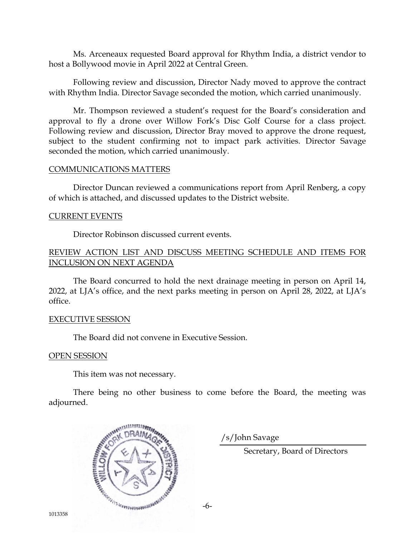Ms. Arceneaux requested Board approval for Rhythm India, a district vendor to host a Bollywood movie in April 2022 at Central Green.

Following review and discussion, Director Nady moved to approve the contract with Rhythm India. Director Savage seconded the motion, which carried unanimously.

Mr. Thompson reviewed a student's request for the Board's consideration and approval to fly a drone over Willow Fork's Disc Golf Course for a class project. Following review and discussion, Director Bray moved to approve the drone request, subject to the student confirming not to impact park activities. Director Savage seconded the motion, which carried unanimously.

#### COMMUNICATIONS MATTERS

Director Duncan reviewed a communications report from April Renberg, a copy of which is attached, and discussed updates to the District website.

#### CURRENT EVENTS

Director Robinson discussed current events.

## REVIEW ACTION LIST AND DISCUSS MEETING SCHEDULE AND ITEMS FOR INCLUSION ON NEXT AGENDA

The Board concurred to hold the next drainage meeting in person on April 14, 2022, at LJA's office, and the next parks meeting in person on April 28, 2022, at LJA's office.

#### EXECUTIVE SESSION

The Board did not convene in Executive Session.

## OPEN SESSION

This item was not necessary.

There being no other business to come before the Board, the meeting was adjourned.



/s/John Savage

Secretary, Board of Directors

-6-